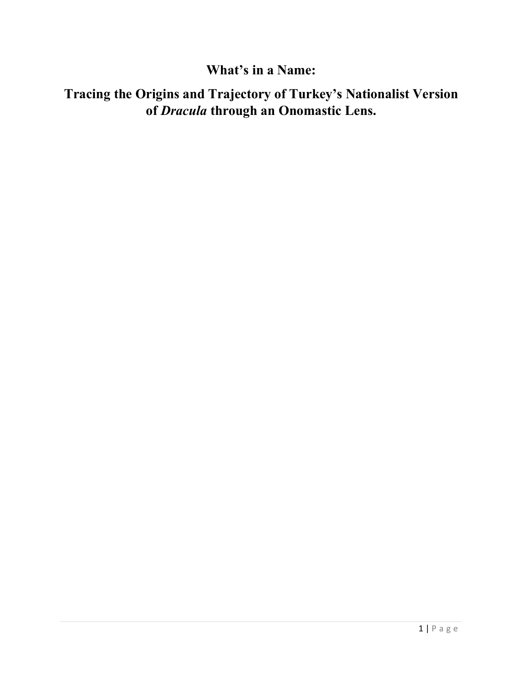## **What's in a Name:**

# **Tracing the Origins and Trajectory of Turkey's Nationalist Version of** *Dracula* **through an Onomastic Lens.**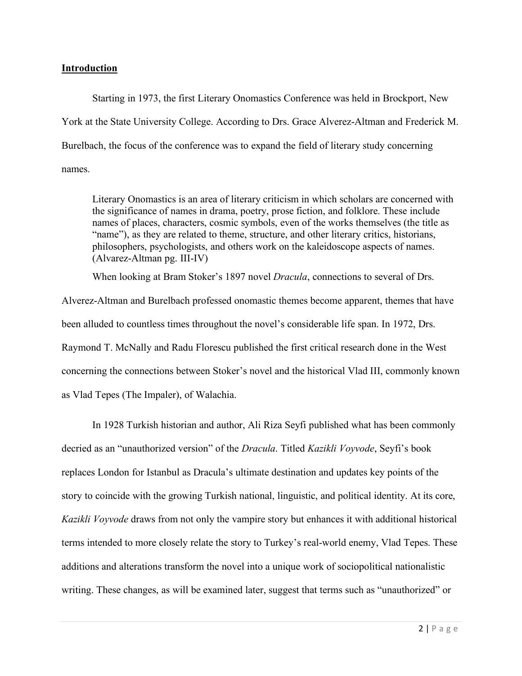## **Introduction**

Starting in 1973, the first Literary Onomastics Conference was held in Brockport, New York at the State University College. According to Drs. Grace Alverez-Altman and Frederick M. Burelbach, the focus of the conference was to expand the field of literary study concerning names.

Literary Onomastics is an area of literary criticism in which scholars are concerned with the significance of names in drama, poetry, prose fiction, and folklore. These include names of places, characters, cosmic symbols, even of the works themselves (the title as "name"), as they are related to theme, structure, and other literary critics, historians, philosophers, psychologists, and others work on the kaleidoscope aspects of names. (Alvarez-Altman pg. III-IV)

When looking at Bram Stoker's 1897 novel *Dracula*, connections to several of Drs.

Alverez-Altman and Burelbach professed onomastic themes become apparent, themes that have been alluded to countless times throughout the novel's considerable life span. In 1972, Drs. Raymond T. McNally and Radu Florescu published the first critical research done in the West concerning the connections between Stoker's novel and the historical Vlad III, commonly known as Vlad Tepes (The Impaler), of Walachia.

In 1928 Turkish historian and author, Ali Riza Seyfi published what has been commonly decried as an "unauthorized version" of the *Dracula*. Titled *Kazikli Voyvode*, Seyfi's book replaces London for Istanbul as Dracula's ultimate destination and updates key points of the story to coincide with the growing Turkish national, linguistic, and political identity. At its core, *Kazikli Voyvode* draws from not only the vampire story but enhances it with additional historical terms intended to more closely relate the story to Turkey's real-world enemy, Vlad Tepes. These additions and alterations transform the novel into a unique work of sociopolitical nationalistic writing. These changes, as will be examined later, suggest that terms such as "unauthorized" or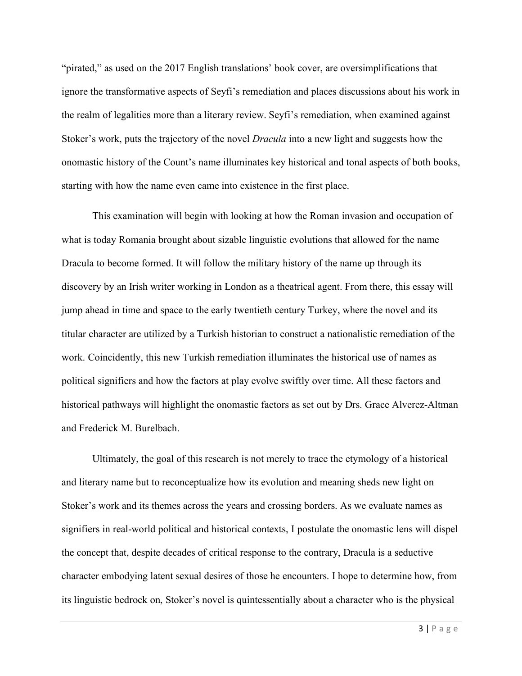"pirated," as used on the 2017 English translations' book cover, are oversimplifications that ignore the transformative aspects of Seyfi's remediation and places discussions about his work in the realm of legalities more than a literary review. Seyfi's remediation, when examined against Stoker's work, puts the trajectory of the novel *Dracula* into a new light and suggests how the onomastic history of the Count's name illuminates key historical and tonal aspects of both books, starting with how the name even came into existence in the first place.

This examination will begin with looking at how the Roman invasion and occupation of what is today Romania brought about sizable linguistic evolutions that allowed for the name Dracula to become formed. It will follow the military history of the name up through its discovery by an Irish writer working in London as a theatrical agent. From there, this essay will jump ahead in time and space to the early twentieth century Turkey, where the novel and its titular character are utilized by a Turkish historian to construct a nationalistic remediation of the work. Coincidently, this new Turkish remediation illuminates the historical use of names as political signifiers and how the factors at play evolve swiftly over time. All these factors and historical pathways will highlight the onomastic factors as set out by Drs. Grace Alverez-Altman and Frederick M. Burelbach.

Ultimately, the goal of this research is not merely to trace the etymology of a historical and literary name but to reconceptualize how its evolution and meaning sheds new light on Stoker's work and its themes across the years and crossing borders. As we evaluate names as signifiers in real-world political and historical contexts, I postulate the onomastic lens will dispel the concept that, despite decades of critical response to the contrary, Dracula is a seductive character embodying latent sexual desires of those he encounters. I hope to determine how, from its linguistic bedrock on, Stoker's novel is quintessentially about a character who is the physical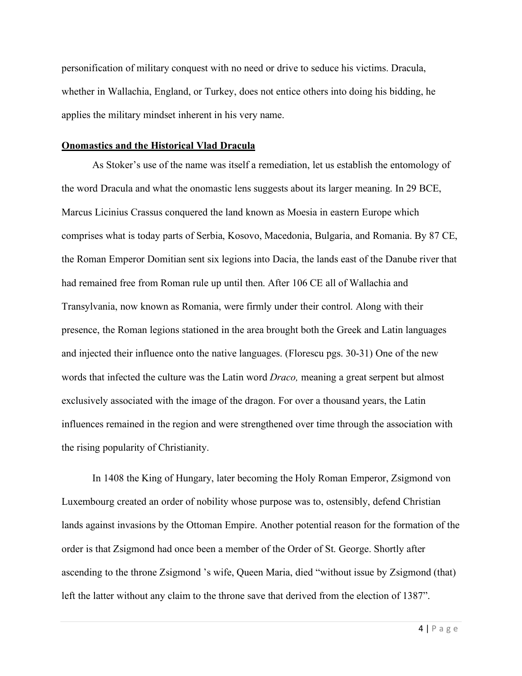personification of military conquest with no need or drive to seduce his victims. Dracula, whether in Wallachia, England, or Turkey, does not entice others into doing his bidding, he applies the military mindset inherent in his very name.

#### **Onomastics and the Historical Vlad Dracula**

As Stoker's use of the name was itself a remediation, let us establish the entomology of the word Dracula and what the onomastic lens suggests about its larger meaning. In 29 BCE, Marcus Licinius Crassus conquered the land known as Moesia in eastern Europe which comprises what is today parts of Serbia, Kosovo, Macedonia, Bulgaria, and Romania. By 87 CE, the Roman Emperor Domitian sent six legions into Dacia, the lands east of the Danube river that had remained free from Roman rule up until then. After 106 CE all of Wallachia and Transylvania, now known as Romania, were firmly under their control. Along with their presence, the Roman legions stationed in the area brought both the Greek and Latin languages and injected their influence onto the native languages. (Florescu pgs. 30-31) One of the new words that infected the culture was the Latin word *Draco,* meaning a great serpent but almost exclusively associated with the image of the dragon. For over a thousand years, the Latin influences remained in the region and were strengthened over time through the association with the rising popularity of Christianity.

In 1408 the King of Hungary, later becoming the Holy Roman Emperor, Zsigmond von Luxembourg created an order of nobility whose purpose was to, ostensibly, defend Christian lands against invasions by the Ottoman Empire. Another potential reason for the formation of the order is that Zsigmond had once been a member of the Order of St. George. Shortly after ascending to the throne Zsigmond 's wife, Queen Maria, died "without issue by Zsigmond (that) left the latter without any claim to the throne save that derived from the election of 1387".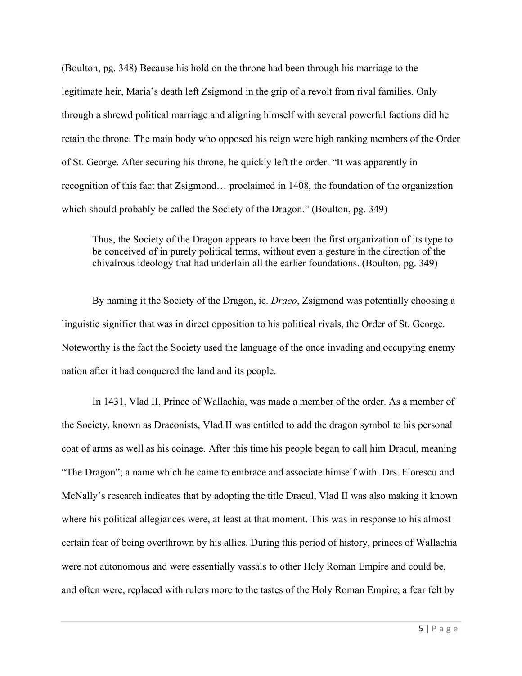(Boulton, pg. 348) Because his hold on the throne had been through his marriage to the legitimate heir, Maria's death left Zsigmond in the grip of a revolt from rival families. Only through a shrewd political marriage and aligning himself with several powerful factions did he retain the throne. The main body who opposed his reign were high ranking members of the Order of St. George. After securing his throne, he quickly left the order. "It was apparently in recognition of this fact that Zsigmond… proclaimed in 1408, the foundation of the organization which should probably be called the Society of the Dragon." (Boulton, pg. 349)

Thus, the Society of the Dragon appears to have been the first organization of its type to be conceived of in purely political terms, without even a gesture in the direction of the chivalrous ideology that had underlain all the earlier foundations. (Boulton, pg. 349)

By naming it the Society of the Dragon, ie. *Draco*, Zsigmond was potentially choosing a linguistic signifier that was in direct opposition to his political rivals, the Order of St. George. Noteworthy is the fact the Society used the language of the once invading and occupying enemy nation after it had conquered the land and its people.

In 1431, Vlad II, Prince of Wallachia, was made a member of the order. As a member of the Society, known as Draconists, Vlad II was entitled to add the dragon symbol to his personal coat of arms as well as his coinage. After this time his people began to call him Dracul, meaning "The Dragon"; a name which he came to embrace and associate himself with. Drs. Florescu and McNally's research indicates that by adopting the title Dracul, Vlad II was also making it known where his political allegiances were, at least at that moment. This was in response to his almost certain fear of being overthrown by his allies. During this period of history, princes of Wallachia were not autonomous and were essentially vassals to other Holy Roman Empire and could be, and often were, replaced with rulers more to the tastes of the Holy Roman Empire; a fear felt by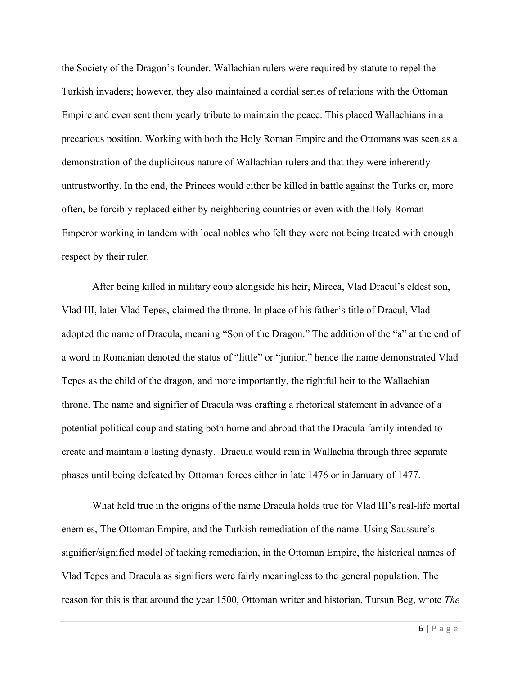the Society of the Dragon's founder. Wallachian rulers were required by statute to repel the Turkish invaders; however, they also maintained a cordial series of relations with the Ottoman Empire and even sent them yearly tribute to maintain the peace. This placed Wallachians in a precarious position. Working with both the Holy Roman Empire and the Ottomans was seen as a demonstration of the duplicitous nature of Wallachian rulers and that they were inherently untrustworthy. In the end, the Princes would either be killed in battle against the Turks or, more often, be forcibly replaced either by neighboring countries or even with the Holy Roman Emperor working in tandem with local nobles who felt they were not being treated with enough respect by their ruler.

After being killed in military coup alongside his heir, Mircea, Vlad Dracul's eldest son, Vlad III, later Vlad Tepes, claimed the throne. In place of his father's title of Dracul, Vlad adopted the name of Dracula, meaning "Son of the Dragon." The addition of the "a" at the end of a word in Romanian denoted the status of "little" or "junior," hence the name demonstrated Vlad Tepes as the child of the dragon, and more importantly, the rightful heir to the Wallachian throne. The name and signifier of Dracula was crafting a rhetorical statement in advance of a potential political coup and stating both home and abroad that the Dracula family intended to create and maintain a lasting dynasty. Dracula would rein in Wallachia through three separate phases until being defeated by Ottoman forces either in late 1476 or in January of 1477.

What held true in the origins of the name Dracula holds true for Vlad III's real-life mortal enemies, The Ottoman Empire, and the Turkish remediation of the name. Using Saussure's signifier/signified model of tacking remediation, in the Ottoman Empire, the historical names of Vlad Tepes and Dracula as signifiers were fairly meaningless to the general population. The reason for this is that around the year 1500, Ottoman writer and historian, Tursun Beg, wrote *The*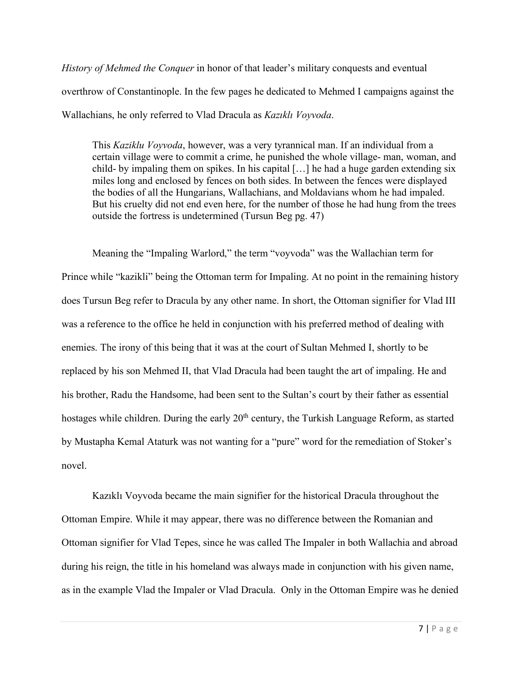*History of Mehmed the Conquer* in honor of that leader's military conquests and eventual overthrow of Constantinople. In the few pages he dedicated to Mehmed I campaigns against the Wallachians, he only referred to Vlad Dracula as *Kazıklı Voyvoda*.

This *Kaziklu Voyvoda*, however, was a very tyrannical man. If an individual from a certain village were to commit a crime, he punished the whole village- man, woman, and child- by impaling them on spikes. In his capital […] he had a huge garden extending six miles long and enclosed by fences on both sides. In between the fences were displayed the bodies of all the Hungarians, Wallachians, and Moldavians whom he had impaled. But his cruelty did not end even here, for the number of those he had hung from the trees outside the fortress is undetermined (Tursun Beg pg. 47)

Meaning the "Impaling Warlord," the term "voyvoda" was the Wallachian term for Prince while "kazikli" being the Ottoman term for Impaling. At no point in the remaining history does Tursun Beg refer to Dracula by any other name. In short, the Ottoman signifier for Vlad III was a reference to the office he held in conjunction with his preferred method of dealing with enemies. The irony of this being that it was at the court of Sultan Mehmed I, shortly to be replaced by his son Mehmed II, that Vlad Dracula had been taught the art of impaling. He and his brother, Radu the Handsome, had been sent to the Sultan's court by their father as essential hostages while children. During the early 20<sup>th</sup> century, the Turkish Language Reform, as started by Mustapha Kemal Ataturk was not wanting for a "pure" word for the remediation of Stoker's novel.

Kazıklı Voyvoda became the main signifier for the historical Dracula throughout the Ottoman Empire. While it may appear, there was no difference between the Romanian and Ottoman signifier for Vlad Tepes, since he was called The Impaler in both Wallachia and abroad during his reign, the title in his homeland was always made in conjunction with his given name, as in the example Vlad the Impaler or Vlad Dracula. Only in the Ottoman Empire was he denied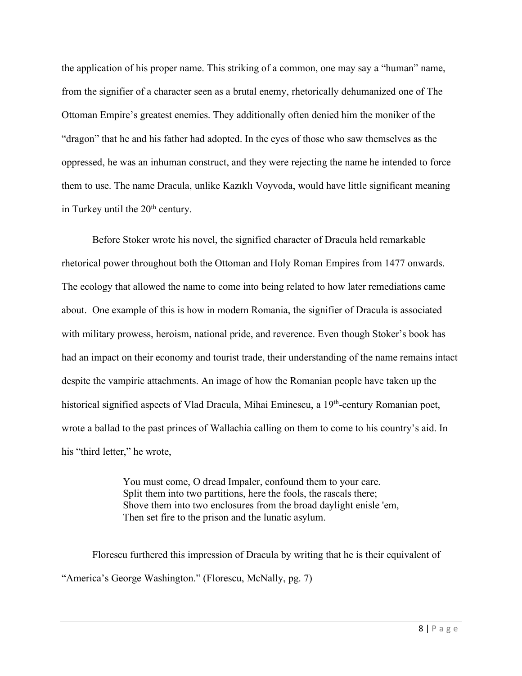the application of his proper name. This striking of a common, one may say a "human" name, from the signifier of a character seen as a brutal enemy, rhetorically dehumanized one of The Ottoman Empire's greatest enemies. They additionally often denied him the moniker of the "dragon" that he and his father had adopted. In the eyes of those who saw themselves as the oppressed, he was an inhuman construct, and they were rejecting the name he intended to force them to use. The name Dracula, unlike Kazıklı Voyvoda, would have little significant meaning in Turkey until the 20<sup>th</sup> century.

Before Stoker wrote his novel, the signified character of Dracula held remarkable rhetorical power throughout both the Ottoman and Holy Roman Empires from 1477 onwards. The ecology that allowed the name to come into being related to how later remediations came about. One example of this is how in modern Romania, the signifier of Dracula is associated with military prowess, heroism, national pride, and reverence. Even though Stoker's book has had an impact on their economy and tourist trade, their understanding of the name remains intact despite the vampiric attachments. An image of how the Romanian people have taken up the historical signified aspects of Vlad Dracula, Mihai Eminescu, a 19<sup>th</sup>-century Romanian poet, wrote a ballad to the past princes of Wallachia calling on them to come to his country's aid. In his "third letter," he wrote,

> You must come, O dread Impaler, confound them to your care. Split them into two partitions, here the fools, the rascals there; Shove them into two enclosures from the broad daylight enisle 'em, Then set fire to the prison and the lunatic asylum.

Florescu furthered this impression of Dracula by writing that he is their equivalent of "America's George Washington." (Florescu, McNally, pg. 7)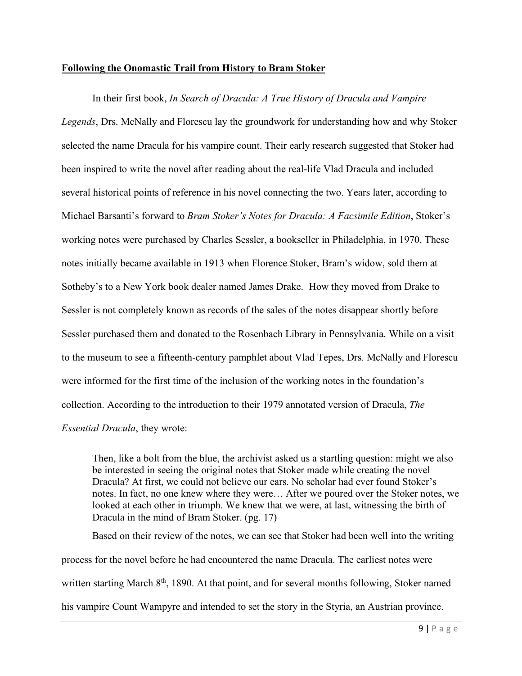## **Following the Onomastic Trail from History to Bram Stoker**

In their first book, *In Search of Dracula: A True History of Dracula and Vampire Legends*, Drs. McNally and Florescu lay the groundwork for understanding how and why Stoker selected the name Dracula for his vampire count. Their early research suggested that Stoker had been inspired to write the novel after reading about the real-life Vlad Dracula and included several historical points of reference in his novel connecting the two. Years later, according to Michael Barsanti's forward to *Bram Stoker's Notes for Dracula: A Facsimile Edition*, Stoker's working notes were purchased by Charles Sessler, a bookseller in Philadelphia, in 1970. These notes initially became available in 1913 when Florence Stoker, Bram's widow, sold them at Sotheby's to a New York book dealer named James Drake. How they moved from Drake to Sessler is not completely known as records of the sales of the notes disappear shortly before Sessler purchased them and donated to the Rosenbach Library in Pennsylvania. While on a visit to the museum to see a fifteenth-century pamphlet about Vlad Tepes, Drs. McNally and Florescu were informed for the first time of the inclusion of the working notes in the foundation's collection. According to the introduction to their 1979 annotated version of Dracula, *The Essential Dracula*, they wrote:

Then, like a bolt from the blue, the archivist asked us a startling question: might we also be interested in seeing the original notes that Stoker made while creating the novel Dracula? At first, we could not believe our ears. No scholar had ever found Stoker's notes. In fact, no one knew where they were… After we poured over the Stoker notes, we looked at each other in triumph. We knew that we were, at last, witnessing the birth of Dracula in the mind of Bram Stoker. (pg. 17)

Based on their review of the notes, we can see that Stoker had been well into the writing process for the novel before he had encountered the name Dracula. The earliest notes were written starting March  $8<sup>th</sup>$ , 1890. At that point, and for several months following, Stoker named his vampire Count Wampyre and intended to set the story in the Styria, an Austrian province.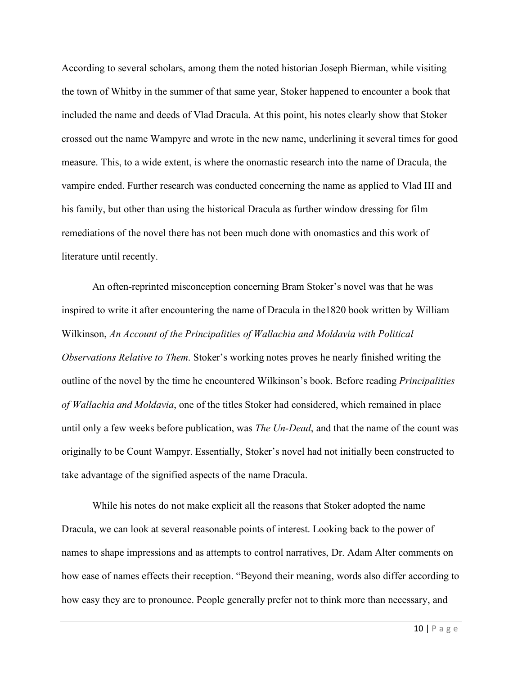According to several scholars, among them the noted historian Joseph Bierman, while visiting the town of Whitby in the summer of that same year, Stoker happened to encounter a book that included the name and deeds of Vlad Dracula. At this point, his notes clearly show that Stoker crossed out the name Wampyre and wrote in the new name, underlining it several times for good measure. This, to a wide extent, is where the onomastic research into the name of Dracula, the vampire ended. Further research was conducted concerning the name as applied to Vlad III and his family, but other than using the historical Dracula as further window dressing for film remediations of the novel there has not been much done with onomastics and this work of literature until recently.

An often-reprinted misconception concerning Bram Stoker's novel was that he was inspired to write it after encountering the name of Dracula in the1820 book written by William Wilkinson, *An Account of the Principalities of Wallachia and Moldavia with Political Observations Relative to Them*. Stoker's working notes proves he nearly finished writing the outline of the novel by the time he encountered Wilkinson's book. Before reading *Principalities of Wallachia and Moldavia*, one of the titles Stoker had considered, which remained in place until only a few weeks before publication, was *The Un-Dead*, and that the name of the count was originally to be Count Wampyr. Essentially, Stoker's novel had not initially been constructed to take advantage of the signified aspects of the name Dracula.

While his notes do not make explicit all the reasons that Stoker adopted the name Dracula, we can look at several reasonable points of interest. Looking back to the power of names to shape impressions and as attempts to control narratives, Dr. Adam Alter comments on how ease of names effects their reception. "Beyond their meaning, words also differ according to how easy they are to pronounce. People generally prefer not to think more than necessary, and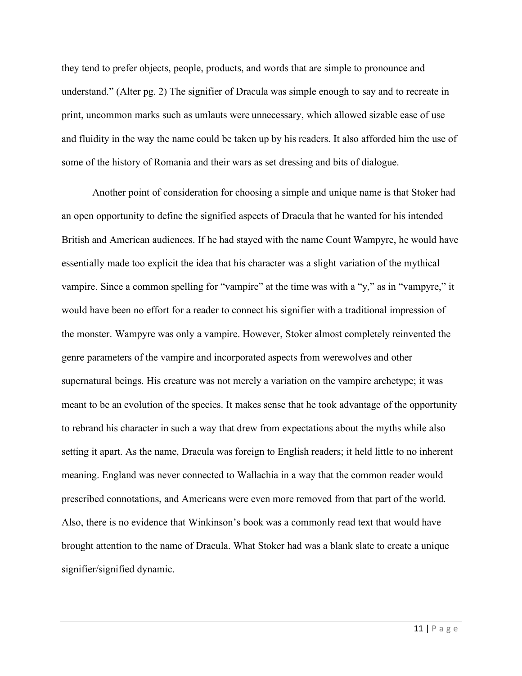they tend to prefer objects, people, products, and words that are simple to pronounce and understand." (Alter pg. 2) The signifier of Dracula was simple enough to say and to recreate in print, uncommon marks such as umlauts were unnecessary, which allowed sizable ease of use and fluidity in the way the name could be taken up by his readers. It also afforded him the use of some of the history of Romania and their wars as set dressing and bits of dialogue.

Another point of consideration for choosing a simple and unique name is that Stoker had an open opportunity to define the signified aspects of Dracula that he wanted for his intended British and American audiences. If he had stayed with the name Count Wampyre, he would have essentially made too explicit the idea that his character was a slight variation of the mythical vampire. Since a common spelling for "vampire" at the time was with a "y," as in "vampyre," it would have been no effort for a reader to connect his signifier with a traditional impression of the monster. Wampyre was only a vampire. However, Stoker almost completely reinvented the genre parameters of the vampire and incorporated aspects from werewolves and other supernatural beings. His creature was not merely a variation on the vampire archetype; it was meant to be an evolution of the species. It makes sense that he took advantage of the opportunity to rebrand his character in such a way that drew from expectations about the myths while also setting it apart. As the name, Dracula was foreign to English readers; it held little to no inherent meaning. England was never connected to Wallachia in a way that the common reader would prescribed connotations, and Americans were even more removed from that part of the world. Also, there is no evidence that Winkinson's book was a commonly read text that would have brought attention to the name of Dracula. What Stoker had was a blank slate to create a unique signifier/signified dynamic.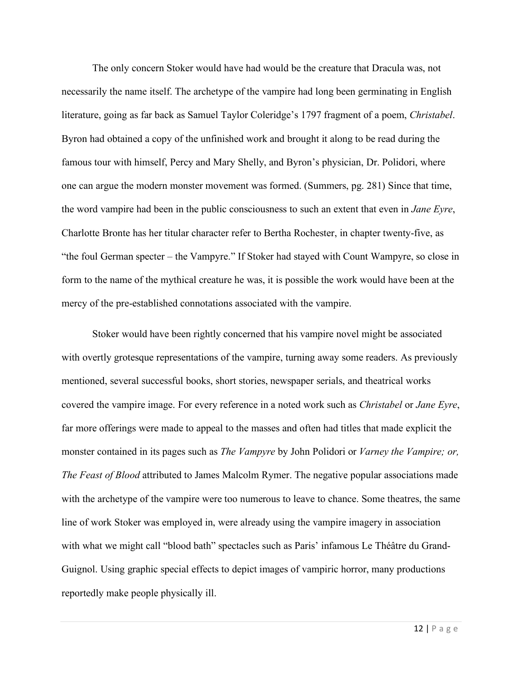The only concern Stoker would have had would be the creature that Dracula was, not necessarily the name itself. The archetype of the vampire had long been germinating in English literature, going as far back as Samuel Taylor Coleridge's 1797 fragment of a poem, *Christabel*. Byron had obtained a copy of the unfinished work and brought it along to be read during the famous tour with himself, Percy and Mary Shelly, and Byron's physician, Dr. Polidori, where one can argue the modern monster movement was formed. (Summers, pg. 281) Since that time, the word vampire had been in the public consciousness to such an extent that even in *Jane Eyre*, Charlotte Bronte has her titular character refer to Bertha Rochester, in chapter twenty-five, as "the foul German specter – the Vampyre." If Stoker had stayed with Count Wampyre, so close in form to the name of the mythical creature he was, it is possible the work would have been at the mercy of the pre-established connotations associated with the vampire.

Stoker would have been rightly concerned that his vampire novel might be associated with overtly grotesque representations of the vampire, turning away some readers. As previously mentioned, several successful books, short stories, newspaper serials, and theatrical works covered the vampire image. For every reference in a noted work such as *Christabel* or *Jane Eyre*, far more offerings were made to appeal to the masses and often had titles that made explicit the monster contained in its pages such as *The Vampyre* by John Polidori or *Varney the Vampire; or, The Feast of Blood* attributed to James Malcolm Rymer. The negative popular associations made with the archetype of the vampire were too numerous to leave to chance. Some theatres, the same line of work Stoker was employed in, were already using the vampire imagery in association with what we might call "blood bath" spectacles such as Paris' infamous Le Théâtre du Grand-Guignol. Using graphic special effects to depict images of vampiric horror, many productions reportedly make people physically ill.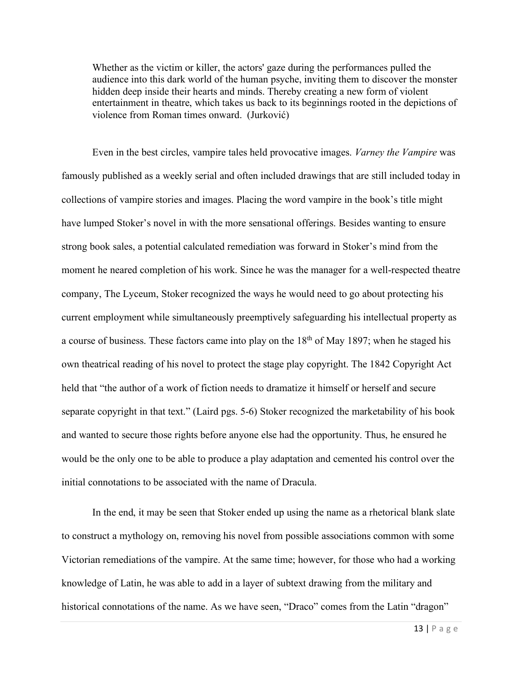Whether as the victim or killer, the actors' gaze during the performances pulled the audience into this dark world of the human psyche, inviting them to discover the monster hidden deep inside their hearts and minds. Thereby creating a new form of violent entertainment in theatre, which takes us back to its beginnings rooted in the depictions of violence from Roman times onward. (Jurković)

Even in the best circles, vampire tales held provocative images. *Varney the Vampire* was famously published as a weekly serial and often included drawings that are still included today in collections of vampire stories and images. Placing the word vampire in the book's title might have lumped Stoker's novel in with the more sensational offerings. Besides wanting to ensure strong book sales, a potential calculated remediation was forward in Stoker's mind from the moment he neared completion of his work. Since he was the manager for a well-respected theatre company, The Lyceum, Stoker recognized the ways he would need to go about protecting his current employment while simultaneously preemptively safeguarding his intellectual property as a course of business. These factors came into play on the 18<sup>th</sup> of May 1897; when he staged his own theatrical reading of his novel to protect the stage play copyright. The 1842 Copyright Act held that "the author of a work of fiction needs to dramatize it himself or herself and secure separate copyright in that text." (Laird pgs. 5-6) Stoker recognized the marketability of his book and wanted to secure those rights before anyone else had the opportunity. Thus, he ensured he would be the only one to be able to produce a play adaptation and cemented his control over the initial connotations to be associated with the name of Dracula.

In the end, it may be seen that Stoker ended up using the name as a rhetorical blank slate to construct a mythology on, removing his novel from possible associations common with some Victorian remediations of the vampire. At the same time; however, for those who had a working knowledge of Latin, he was able to add in a layer of subtext drawing from the military and historical connotations of the name. As we have seen, "Draco" comes from the Latin "dragon"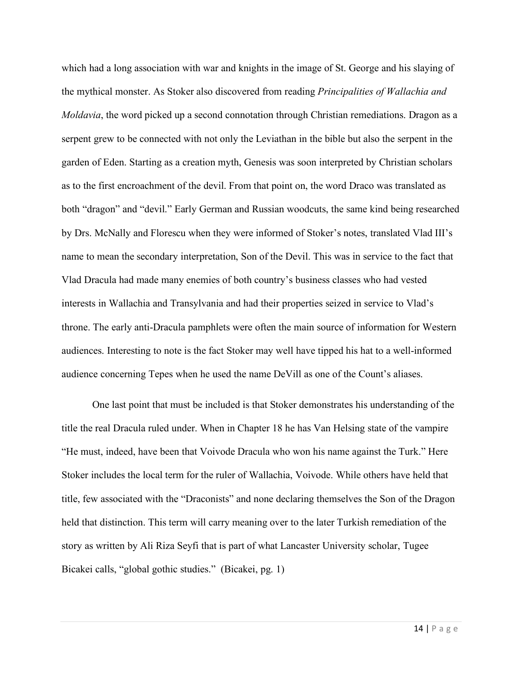which had a long association with war and knights in the image of St. George and his slaying of the mythical monster. As Stoker also discovered from reading *Principalities of Wallachia and Moldavia*, the word picked up a second connotation through Christian remediations. Dragon as a serpent grew to be connected with not only the Leviathan in the bible but also the serpent in the garden of Eden. Starting as a creation myth, Genesis was soon interpreted by Christian scholars as to the first encroachment of the devil. From that point on, the word Draco was translated as both "dragon" and "devil." Early German and Russian woodcuts, the same kind being researched by Drs. McNally and Florescu when they were informed of Stoker's notes, translated Vlad III's name to mean the secondary interpretation, Son of the Devil. This was in service to the fact that Vlad Dracula had made many enemies of both country's business classes who had vested interests in Wallachia and Transylvania and had their properties seized in service to Vlad's throne. The early anti-Dracula pamphlets were often the main source of information for Western audiences. Interesting to note is the fact Stoker may well have tipped his hat to a well-informed audience concerning Tepes when he used the name DeVill as one of the Count's aliases.

One last point that must be included is that Stoker demonstrates his understanding of the title the real Dracula ruled under. When in Chapter 18 he has Van Helsing state of the vampire "He must, indeed, have been that Voivode Dracula who won his name against the Turk." Here Stoker includes the local term for the ruler of Wallachia, Voivode. While others have held that title, few associated with the "Draconists" and none declaring themselves the Son of the Dragon held that distinction. This term will carry meaning over to the later Turkish remediation of the story as written by Ali Riza Seyfi that is part of what Lancaster University scholar, Tugee Bicakei calls, "global gothic studies." (Bicakei, pg. 1)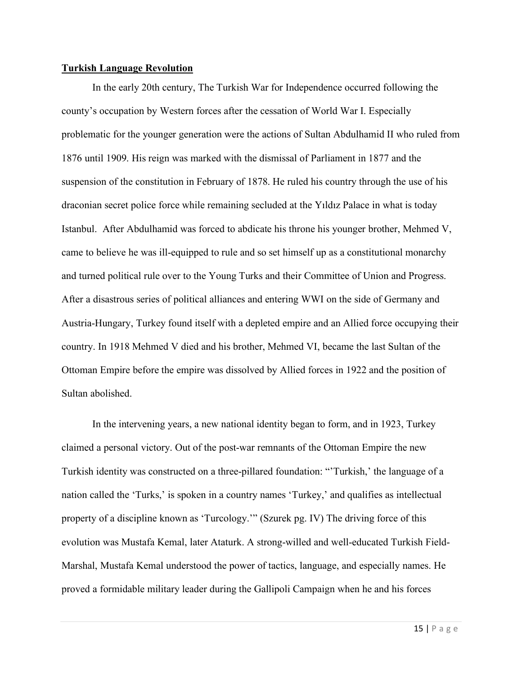#### **Turkish Language Revolution**

In the early 20th century, The Turkish War for Independence occurred following the county's occupation by Western forces after the cessation of World War I. Especially problematic for the younger generation were the actions of Sultan Abdulhamid II who ruled from 1876 until 1909. His reign was marked with the dismissal of Parliament in 1877 and the suspension of the constitution in February of 1878. He ruled his country through the use of his draconian secret police force while remaining secluded at the Yıldız Palace in what is today Istanbul. After Abdulhamid was forced to abdicate his throne his younger brother, Mehmed V, came to believe he was ill-equipped to rule and so set himself up as a constitutional monarchy and turned political rule over to the Young Turks and their Committee of Union and Progress. After a disastrous series of political alliances and entering WWI on the side of Germany and Austria-Hungary, Turkey found itself with a depleted empire and an Allied force occupying their country. In 1918 Mehmed V died and his brother, Mehmed VI, became the last Sultan of the Ottoman Empire before the empire was dissolved by Allied forces in 1922 and the position of Sultan abolished.

In the intervening years, a new national identity began to form, and in 1923, Turkey claimed a personal victory. Out of the post-war remnants of the Ottoman Empire the new Turkish identity was constructed on a three-pillared foundation: "'Turkish,' the language of a nation called the 'Turks,' is spoken in a country names 'Turkey,' and qualifies as intellectual property of a discipline known as 'Turcology.'" (Szurek pg. IV) The driving force of this evolution was Mustafa Kemal, later Ataturk. A strong-willed and well-educated Turkish Field-Marshal, Mustafa Kemal understood the power of tactics, language, and especially names. He proved a formidable military leader during the Gallipoli Campaign when he and his forces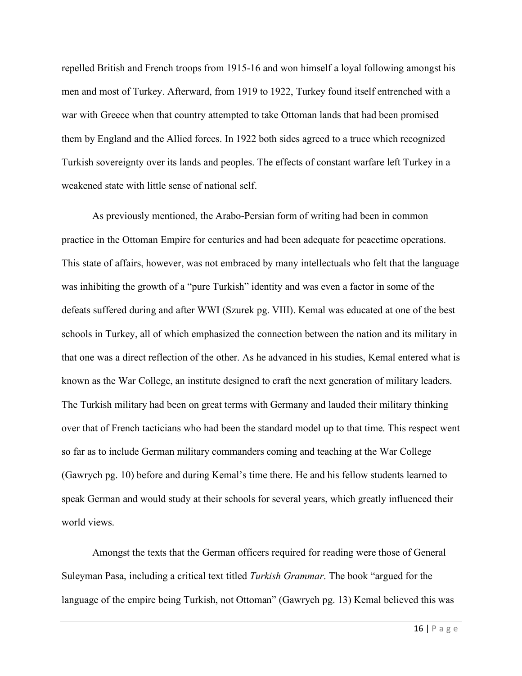repelled British and French troops from 1915-16 and won himself a loyal following amongst his men and most of Turkey. Afterward, from 1919 to 1922, Turkey found itself entrenched with a war with Greece when that country attempted to take Ottoman lands that had been promised them by England and the Allied forces. In 1922 both sides agreed to a truce which recognized Turkish sovereignty over its lands and peoples. The effects of constant warfare left Turkey in a weakened state with little sense of national self.

As previously mentioned, the Arabo-Persian form of writing had been in common practice in the Ottoman Empire for centuries and had been adequate for peacetime operations. This state of affairs, however, was not embraced by many intellectuals who felt that the language was inhibiting the growth of a "pure Turkish" identity and was even a factor in some of the defeats suffered during and after WWI (Szurek pg. VIII). Kemal was educated at one of the best schools in Turkey, all of which emphasized the connection between the nation and its military in that one was a direct reflection of the other. As he advanced in his studies, Kemal entered what is known as the War College, an institute designed to craft the next generation of military leaders. The Turkish military had been on great terms with Germany and lauded their military thinking over that of French tacticians who had been the standard model up to that time. This respect went so far as to include German military commanders coming and teaching at the War College (Gawrych pg. 10) before and during Kemal's time there. He and his fellow students learned to speak German and would study at their schools for several years, which greatly influenced their world views.

Amongst the texts that the German officers required for reading were those of General Suleyman Pasa, including a critical text titled *Turkish Grammar*. The book "argued for the language of the empire being Turkish, not Ottoman" (Gawrych pg. 13) Kemal believed this was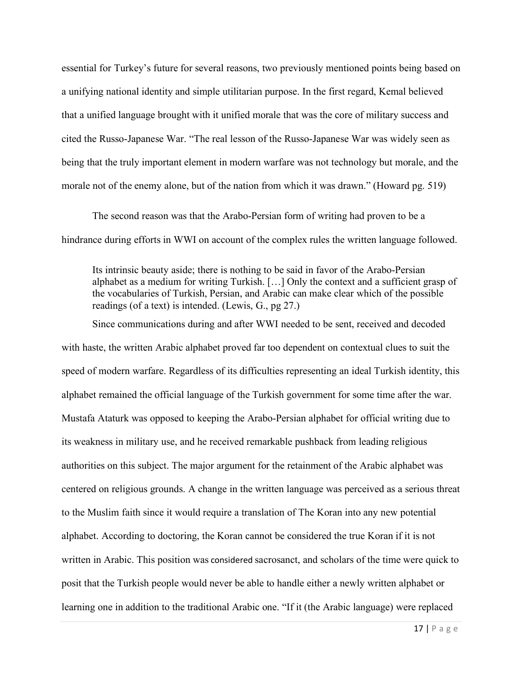essential for Turkey's future for several reasons, two previously mentioned points being based on a unifying national identity and simple utilitarian purpose. In the first regard, Kemal believed that a unified language brought with it unified morale that was the core of military success and cited the Russo-Japanese War. "The real lesson of the Russo-Japanese War was widely seen as being that the truly important element in modern warfare was not technology but morale, and the morale not of the enemy alone, but of the nation from which it was drawn." (Howard pg. 519)

The second reason was that the Arabo-Persian form of writing had proven to be a hindrance during efforts in WWI on account of the complex rules the written language followed.

Its intrinsic beauty aside; there is nothing to be said in favor of the Arabo-Persian alphabet as a medium for writing Turkish. […] Only the context and a sufficient grasp of the vocabularies of Turkish, Persian, and Arabic can make clear which of the possible readings (of a text) is intended. (Lewis, G., pg 27.)

Since communications during and after WWI needed to be sent, received and decoded with haste, the written Arabic alphabet proved far too dependent on contextual clues to suit the speed of modern warfare. Regardless of its difficulties representing an ideal Turkish identity, this alphabet remained the official language of the Turkish government for some time after the war. Mustafa Ataturk was opposed to keeping the Arabo-Persian alphabet for official writing due to its weakness in military use, and he received remarkable pushback from leading religious authorities on this subject. The major argument for the retainment of the Arabic alphabet was centered on religious grounds. A change in the written language was perceived as a serious threat to the Muslim faith since it would require a translation of The Koran into any new potential alphabet. According to doctoring, the Koran cannot be considered the true Koran if it is not written in Arabic. This position was considered sacrosanct, and scholars of the time were quick to posit that the Turkish people would never be able to handle either a newly written alphabet or learning one in addition to the traditional Arabic one. "If it (the Arabic language) were replaced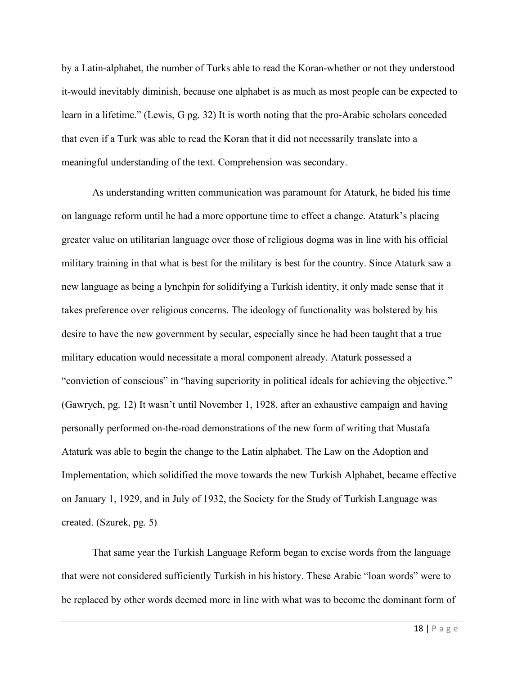by a Latin-alphabet, the number of Turks able to read the Koran-whether or not they understood it-would inevitably diminish, because one alphabet is as much as most people can be expected to learn in a lifetime." (Lewis, G pg. 32) It is worth noting that the pro-Arabic scholars conceded that even if a Turk was able to read the Koran that it did not necessarily translate into a meaningful understanding of the text. Comprehension was secondary.

As understanding written communication was paramount for Ataturk, he bided his time on language reform until he had a more opportune time to effect a change. Ataturk's placing greater value on utilitarian language over those of religious dogma was in line with his official military training in that what is best for the military is best for the country. Since Ataturk saw a new language as being a lynchpin for solidifying a Turkish identity, it only made sense that it takes preference over religious concerns. The ideology of functionality was bolstered by his desire to have the new government by secular, especially since he had been taught that a true military education would necessitate a moral component already. Ataturk possessed a "conviction of conscious" in "having superiority in political ideals for achieving the objective." (Gawrych, pg. 12) It wasn't until November 1, 1928, after an exhaustive campaign and having personally performed on-the-road demonstrations of the new form of writing that Mustafa Ataturk was able to begin the change to the Latin alphabet. The Law on the Adoption and Implementation, which solidified the move towards the new Turkish Alphabet, became effective on January 1, 1929, and in July of 1932, the Society for the Study of Turkish Language was created. (Szurek, pg. 5)

That same year the Turkish Language Reform began to excise words from the language that were not considered sufficiently Turkish in his history. These Arabic "loan words" were to be replaced by other words deemed more in line with what was to become the dominant form of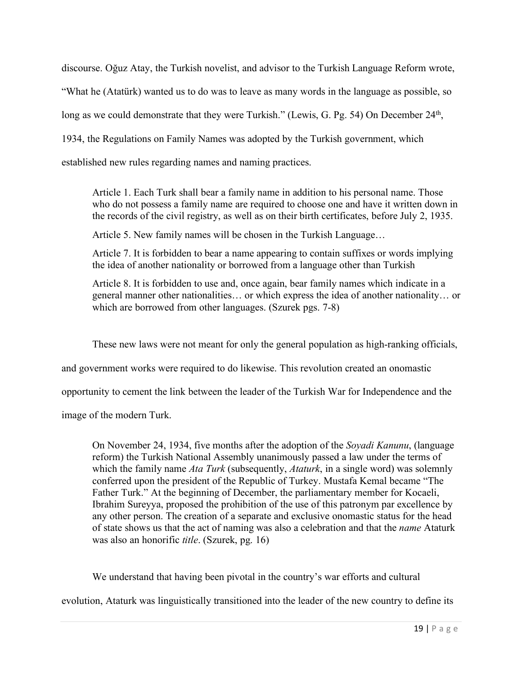discourse. Oğuz Atay, the Turkish novelist, and advisor to the Turkish Language Reform wrote,

"What he (Atatürk) wanted us to do was to leave as many words in the language as possible, so

long as we could demonstrate that they were Turkish." (Lewis, G. Pg. 54) On December 24<sup>th</sup>,

1934, the Regulations on Family Names was adopted by the Turkish government, which

established new rules regarding names and naming practices.

Article 1. Each Turk shall bear a family name in addition to his personal name. Those who do not possess a family name are required to choose one and have it written down in the records of the civil registry, as well as on their birth certificates, before July 2, 1935.

Article 5. New family names will be chosen in the Turkish Language…

Article 7. It is forbidden to bear a name appearing to contain suffixes or words implying the idea of another nationality or borrowed from a language other than Turkish

Article 8. It is forbidden to use and, once again, bear family names which indicate in a general manner other nationalities… or which express the idea of another nationality… or which are borrowed from other languages. (Szurek pgs. 7-8)

These new laws were not meant for only the general population as high-ranking officials,

and government works were required to do likewise. This revolution created an onomastic

opportunity to cement the link between the leader of the Turkish War for Independence and the

image of the modern Turk.

On November 24, 1934, five months after the adoption of the *Soyadi Kanunu*, (language reform) the Turkish National Assembly unanimously passed a law under the terms of which the family name *Ata Turk* (subsequently, *Ataturk*, in a single word) was solemnly conferred upon the president of the Republic of Turkey. Mustafa Kemal became "The Father Turk." At the beginning of December, the parliamentary member for Kocaeli, Ibrahim Sureyya, proposed the prohibition of the use of this patronym par excellence by any other person. The creation of a separate and exclusive onomastic status for the head of state shows us that the act of naming was also a celebration and that the *name* Ataturk was also an honorific *title*. (Szurek, pg. 16)

We understand that having been pivotal in the country's war efforts and cultural

evolution, Ataturk was linguistically transitioned into the leader of the new country to define its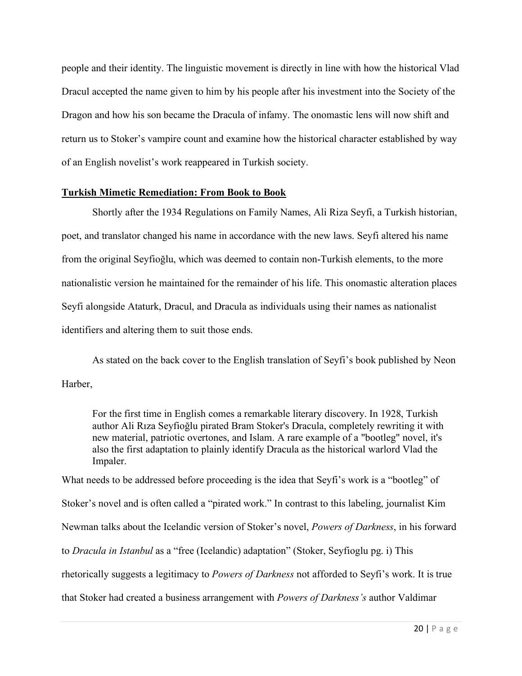people and their identity. The linguistic movement is directly in line with how the historical Vlad Dracul accepted the name given to him by his people after his investment into the Society of the Dragon and how his son became the Dracula of infamy. The onomastic lens will now shift and return us to Stoker's vampire count and examine how the historical character established by way of an English novelist's work reappeared in Turkish society.

## **Turkish Mimetic Remediation: From Book to Book**

Shortly after the 1934 Regulations on Family Names, Ali Riza Seyfi, a Turkish historian, poet, and translator changed his name in accordance with the new laws. Seyfi altered his name from the original Seyfioğlu, which was deemed to contain non-Turkish elements, to the more nationalistic version he maintained for the remainder of his life. This onomastic alteration places Seyfi alongside Ataturk, Dracul, and Dracula as individuals using their names as nationalist identifiers and altering them to suit those ends.

As stated on the back cover to the English translation of Seyfi's book published by Neon Harber,

For the first time in English comes a remarkable literary discovery. In 1928, Turkish author Ali Rıza Seyfioğlu pirated Bram Stoker's Dracula, completely rewriting it with new material, patriotic overtones, and Islam. A rare example of a "bootleg" novel, it's also the first adaptation to plainly identify Dracula as the historical warlord Vlad the Impaler.

What needs to be addressed before proceeding is the idea that Seyfi's work is a "bootleg" of Stoker's novel and is often called a "pirated work." In contrast to this labeling, journalist Kim Newman talks about the Icelandic version of Stoker's novel, *Powers of Darkness*, in his forward to *Dracula in Istanbul* as a "free (Icelandic) adaptation" (Stoker, Seyfioglu pg. i) This rhetorically suggests a legitimacy to *Powers of Darkness* not afforded to Seyfi's work. It is true that Stoker had created a business arrangement with *Powers of Darkness's* author Valdimar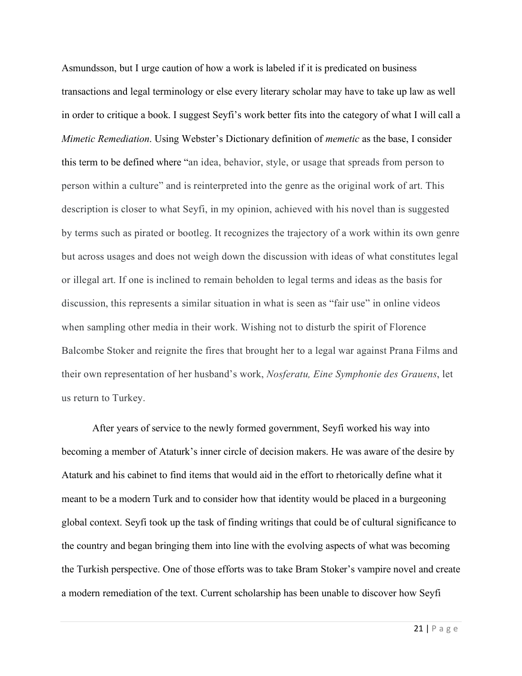Asmundsson, but I urge caution of how a work is labeled if it is predicated on business transactions and legal terminology or else every literary scholar may have to take up law as well in order to critique a book. I suggest Seyfi's work better fits into the category of what I will call a *Mimetic Remediation*. Using Webster's Dictionary definition of *memetic* as the base, I consider this term to be defined where "an idea, behavior, style, or usage that spreads from person to person within a culture" and is reinterpreted into the genre as the original work of art. This description is closer to what Seyfi, in my opinion, achieved with his novel than is suggested by terms such as pirated or bootleg. It recognizes the trajectory of a work within its own genre but across usages and does not weigh down the discussion with ideas of what constitutes legal or illegal art. If one is inclined to remain beholden to legal terms and ideas as the basis for discussion, this represents a similar situation in what is seen as "fair use" in online videos when sampling other media in their work. Wishing not to disturb the spirit of Florence Balcombe Stoker and reignite the fires that brought her to a legal war against Prana Films and their own representation of her husband's work, *Nosferatu, Eine Symphonie des Grauens*, let us return to Turkey.

After years of service to the newly formed government, Seyfi worked his way into becoming a member of Ataturk's inner circle of decision makers. He was aware of the desire by Ataturk and his cabinet to find items that would aid in the effort to rhetorically define what it meant to be a modern Turk and to consider how that identity would be placed in a burgeoning global context. Seyfi took up the task of finding writings that could be of cultural significance to the country and began bringing them into line with the evolving aspects of what was becoming the Turkish perspective. One of those efforts was to take Bram Stoker's vampire novel and create a modern remediation of the text. Current scholarship has been unable to discover how Seyfi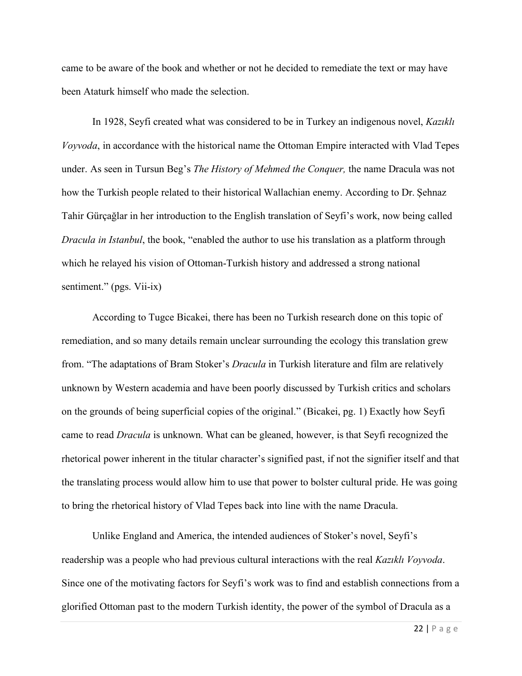came to be aware of the book and whether or not he decided to remediate the text or may have been Ataturk himself who made the selection.

In 1928, Seyfi created what was considered to be in Turkey an indigenous novel, *Kazıklı Voyvoda*, in accordance with the historical name the Ottoman Empire interacted with Vlad Tepes under. As seen in Tursun Beg's *The History of Mehmed the Conquer,* the name Dracula was not how the Turkish people related to their historical Wallachian enemy. According to Dr. Şehnaz Tahir Gürçağlar in her introduction to the English translation of Seyfi's work, now being called *Dracula in Istanbul*, the book, "enabled the author to use his translation as a platform through which he relayed his vision of Ottoman-Turkish history and addressed a strong national sentiment." (pgs. Vii-ix)

According to Tugce Bicakei, there has been no Turkish research done on this topic of remediation, and so many details remain unclear surrounding the ecology this translation grew from. "The adaptations of Bram Stoker's *Dracula* in Turkish literature and film are relatively unknown by Western academia and have been poorly discussed by Turkish critics and scholars on the grounds of being superficial copies of the original." (Bicakei, pg. 1) Exactly how Seyfi came to read *Dracula* is unknown. What can be gleaned, however, is that Seyfi recognized the rhetorical power inherent in the titular character's signified past, if not the signifier itself and that the translating process would allow him to use that power to bolster cultural pride. He was going to bring the rhetorical history of Vlad Tepes back into line with the name Dracula.

Unlike England and America, the intended audiences of Stoker's novel, Seyfi's readership was a people who had previous cultural interactions with the real *Kazıklı Voyvoda*. Since one of the motivating factors for Seyfi's work was to find and establish connections from a glorified Ottoman past to the modern Turkish identity, the power of the symbol of Dracula as a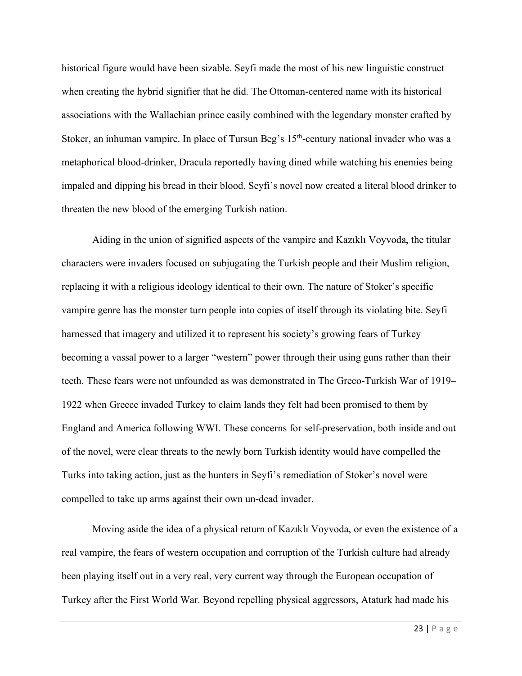historical figure would have been sizable. Seyfi made the most of his new linguistic construct when creating the hybrid signifier that he did. The Ottoman-centered name with its historical associations with the Wallachian prince easily combined with the legendary monster crafted by Stoker, an inhuman vampire. In place of Tursun Beg's 15<sup>th</sup>-century national invader who was a metaphorical blood-drinker, Dracula reportedly having dined while watching his enemies being impaled and dipping his bread in their blood, Seyfi's novel now created a literal blood drinker to threaten the new blood of the emerging Turkish nation.

Aiding in the union of signified aspects of the vampire and Kazıklı Voyvoda, the titular characters were invaders focused on subjugating the Turkish people and their Muslim religion, replacing it with a religious ideology identical to their own. The nature of Stoker's specific vampire genre has the monster turn people into copies of itself through its violating bite. Seyfi harnessed that imagery and utilized it to represent his society's growing fears of Turkey becoming a vassal power to a larger "western" power through their using guns rather than their teeth. These fears were not unfounded as was demonstrated in The Greco-Turkish War of 1919– 1922 when Greece invaded Turkey to claim lands they felt had been promised to them by England and America following WWI. These concerns for self-preservation, both inside and out of the novel, were clear threats to the newly born Turkish identity would have compelled the Turks into taking action, just as the hunters in Seyfi's remediation of Stoker's novel were compelled to take up arms against their own un-dead invader.

Moving aside the idea of a physical return of Kazıklı Voyvoda, or even the existence of a real vampire, the fears of western occupation and corruption of the Turkish culture had already been playing itself out in a very real, very current way through the European occupation of Turkey after the First World War. Beyond repelling physical aggressors, Ataturk had made his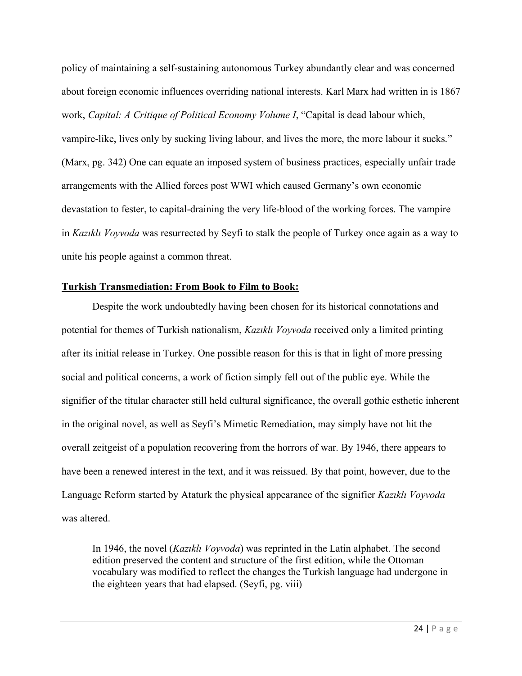policy of maintaining a self-sustaining autonomous Turkey abundantly clear and was concerned about foreign economic influences overriding national interests. Karl Marx had written in is 1867 work, *Capital: A Critique of Political Economy Volume I*, "Capital is dead labour which, vampire-like, lives only by sucking living labour, and lives the more, the more labour it sucks." (Marx, pg. 342) One can equate an imposed system of business practices, especially unfair trade arrangements with the Allied forces post WWI which caused Germany's own economic devastation to fester, to capital-draining the very life-blood of the working forces. The vampire in *Kazıklı Voyvoda* was resurrected by Seyfi to stalk the people of Turkey once again as a way to unite his people against a common threat.

## **Turkish Transmediation: From Book to Film to Book:**

Despite the work undoubtedly having been chosen for its historical connotations and potential for themes of Turkish nationalism, *Kazıklı Voyvoda* received only a limited printing after its initial release in Turkey. One possible reason for this is that in light of more pressing social and political concerns, a work of fiction simply fell out of the public eye. While the signifier of the titular character still held cultural significance, the overall gothic esthetic inherent in the original novel, as well as Seyfi's Mimetic Remediation, may simply have not hit the overall zeitgeist of a population recovering from the horrors of war. By 1946, there appears to have been a renewed interest in the text, and it was reissued. By that point, however, due to the Language Reform started by Ataturk the physical appearance of the signifier *Kazıklı Voyvoda* was altered.

In 1946, the novel (*Kazıklı Voyvoda*) was reprinted in the Latin alphabet. The second edition preserved the content and structure of the first edition, while the Ottoman vocabulary was modified to reflect the changes the Turkish language had undergone in the eighteen years that had elapsed. (Seyfi, pg. viii)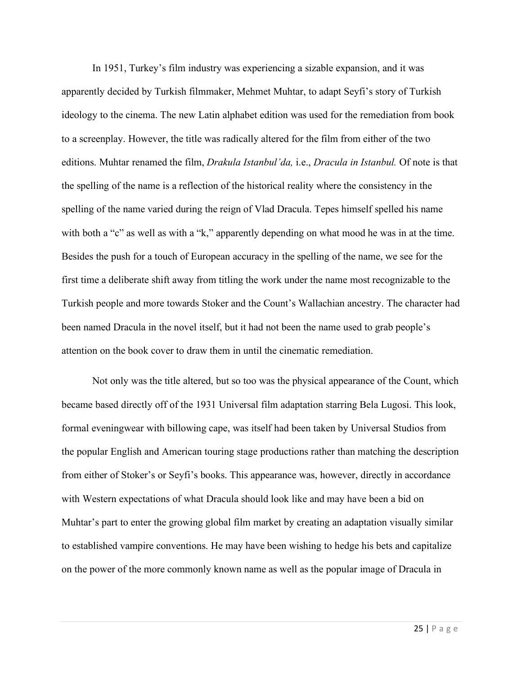In 1951, Turkey's film industry was experiencing a sizable expansion, and it was apparently decided by Turkish filmmaker, Mehmet Muhtar, to adapt Seyfi's story of Turkish ideology to the cinema. The new Latin alphabet edition was used for the remediation from book to a screenplay. However, the title was radically altered for the film from either of the two editions. Muhtar renamed the film, *Drakula Istanbul'da,* i.e., *Dracula in Istanbul.* Of note is that the spelling of the name is a reflection of the historical reality where the consistency in the spelling of the name varied during the reign of Vlad Dracula. Tepes himself spelled his name with both a "c" as well as with a "k," apparently depending on what mood he was in at the time. Besides the push for a touch of European accuracy in the spelling of the name, we see for the first time a deliberate shift away from titling the work under the name most recognizable to the Turkish people and more towards Stoker and the Count's Wallachian ancestry. The character had been named Dracula in the novel itself, but it had not been the name used to grab people's attention on the book cover to draw them in until the cinematic remediation.

Not only was the title altered, but so too was the physical appearance of the Count, which became based directly off of the 1931 Universal film adaptation starring Bela Lugosi. This look, formal eveningwear with billowing cape, was itself had been taken by Universal Studios from the popular English and American touring stage productions rather than matching the description from either of Stoker's or Seyfi's books. This appearance was, however, directly in accordance with Western expectations of what Dracula should look like and may have been a bid on Muhtar's part to enter the growing global film market by creating an adaptation visually similar to established vampire conventions. He may have been wishing to hedge his bets and capitalize on the power of the more commonly known name as well as the popular image of Dracula in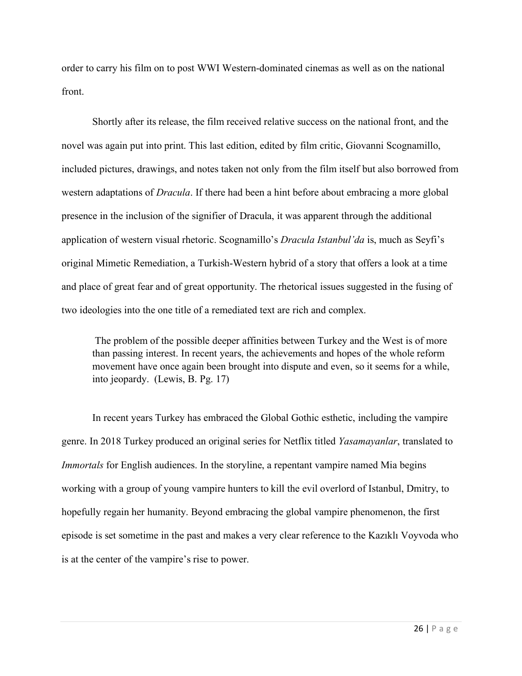order to carry his film on to post WWI Western-dominated cinemas as well as on the national front.

Shortly after its release, the film received relative success on the national front, and the novel was again put into print. This last edition, edited by film critic, Giovanni Scognamillo, included pictures, drawings, and notes taken not only from the film itself but also borrowed from western adaptations of *Dracula*. If there had been a hint before about embracing a more global presence in the inclusion of the signifier of Dracula, it was apparent through the additional application of western visual rhetoric. Scognamillo's *Dracula Istanbul'da* is, much as Seyfi's original Mimetic Remediation, a Turkish-Western hybrid of a story that offers a look at a time and place of great fear and of great opportunity. The rhetorical issues suggested in the fusing of two ideologies into the one title of a remediated text are rich and complex.

The problem of the possible deeper affinities between Turkey and the West is of more than passing interest. In recent years, the achievements and hopes of the whole reform movement have once again been brought into dispute and even, so it seems for a while, into jeopardy. (Lewis, B. Pg. 17)

In recent years Turkey has embraced the Global Gothic esthetic, including the vampire genre. In 2018 Turkey produced an original series for Netflix titled *Yasamayanlar*, translated to *Immortals* for English audiences. In the storyline, a repentant vampire named Mia begins working with a group of young vampire hunters to kill the evil overlord of Istanbul, Dmitry, to hopefully regain her humanity. Beyond embracing the global vampire phenomenon, the first episode is set sometime in the past and makes a very clear reference to the Kazıklı Voyvoda who is at the center of the vampire's rise to power.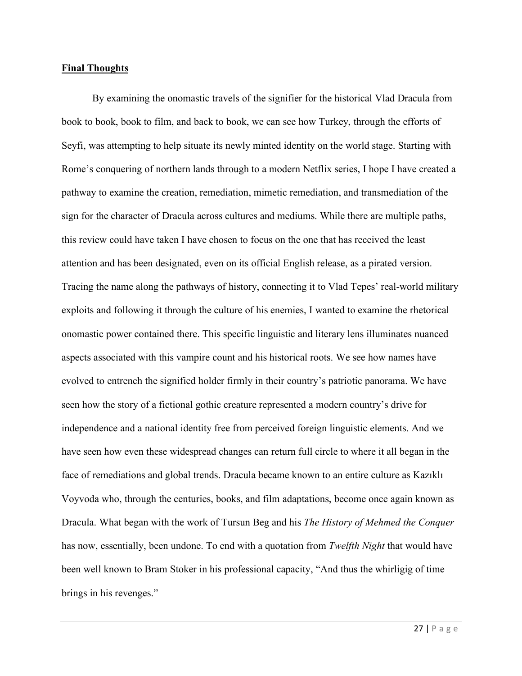#### **Final Thoughts**

By examining the onomastic travels of the signifier for the historical Vlad Dracula from book to book, book to film, and back to book, we can see how Turkey, through the efforts of Seyfi, was attempting to help situate its newly minted identity on the world stage. Starting with Rome's conquering of northern lands through to a modern Netflix series, I hope I have created a pathway to examine the creation, remediation, mimetic remediation, and transmediation of the sign for the character of Dracula across cultures and mediums. While there are multiple paths, this review could have taken I have chosen to focus on the one that has received the least attention and has been designated, even on its official English release, as a pirated version. Tracing the name along the pathways of history, connecting it to Vlad Tepes' real-world military exploits and following it through the culture of his enemies, I wanted to examine the rhetorical onomastic power contained there. This specific linguistic and literary lens illuminates nuanced aspects associated with this vampire count and his historical roots. We see how names have evolved to entrench the signified holder firmly in their country's patriotic panorama. We have seen how the story of a fictional gothic creature represented a modern country's drive for independence and a national identity free from perceived foreign linguistic elements. And we have seen how even these widespread changes can return full circle to where it all began in the face of remediations and global trends. Dracula became known to an entire culture as Kazıklı Voyvoda who, through the centuries, books, and film adaptations, become once again known as Dracula. What began with the work of Tursun Beg and his *The History of Mehmed the Conquer* has now, essentially, been undone. To end with a quotation from *Twelfth Night* that would have been well known to Bram Stoker in his professional capacity, "And thus the whirligig of time brings in his revenges."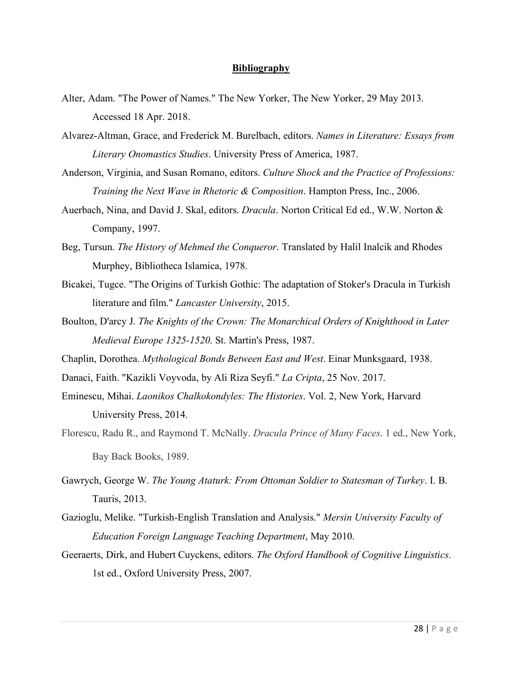#### **Bibliography**

- Alter, Adam. "The Power of Names." The New Yorker, The New Yorker, 29 May 2013. Accessed 18 Apr. 2018.
- Alvarez-Altman, Grace, and Frederick M. Burelbach, editors. *Names in Literature: Essays from Literary Onomastics Studies*. University Press of America, 1987.
- Anderson, Virginia, and Susan Romano, editors. *Culture Shock and the Practice of Professions: Training the Next Wave in Rhetoric & Composition*. Hampton Press, Inc., 2006.
- Auerbach, Nina, and David J. Skal, editors. *Dracula*. Norton Critical Ed ed., W.W. Norton & Company, 1997.
- Beg, Tursun. *The History of Mehmed the Conqueror*. Translated by Halil Inalcik and Rhodes Murphey, Bibliotheca Islamica, 1978.
- Bicakei, Tugce. "The Origins of Turkish Gothic: The adaptation of Stoker's Dracula in Turkish literature and film." *Lancaster University*, 2015.
- Boulton, D'arcy J. *The Knights of the Crown: The Monarchical Orders of Knighthood in Later Medieval Europe 1325-1520*. St. Martin's Press, 1987.
- Chaplin, Dorothea. *Mythological Bonds Between East and West*. Einar Munksgaard, 1938.
- Danaci, Faith. "Kazikli Voyvoda, by Ali Riza Seyfi." *La Cripta*, 25 Nov. 2017.
- Eminescu, Mihai. *Laonikos Chalkokondyles: The Histories*. Vol. 2, New York, Harvard University Press, 2014.
- Florescu, Radu R., and Raymond T. McNally. *Dracula Prince of Many Faces*. 1 ed., New York, Bay Back Books, 1989.
- Gawrych, George W. *The Young Ataturk: From Ottoman Soldier to Statesman of Turkey*. I. B. Tauris, 2013.
- Gazioglu, Melike. "Turkish-English Translation and Analysis." *Mersin University Faculty of Education Foreign Language Teaching Department*, May 2010.
- Geeraerts, Dirk, and Hubert Cuyckens, editors. *The Oxford Handbook of Cognitive Linguistics*. 1st ed., Oxford University Press, 2007.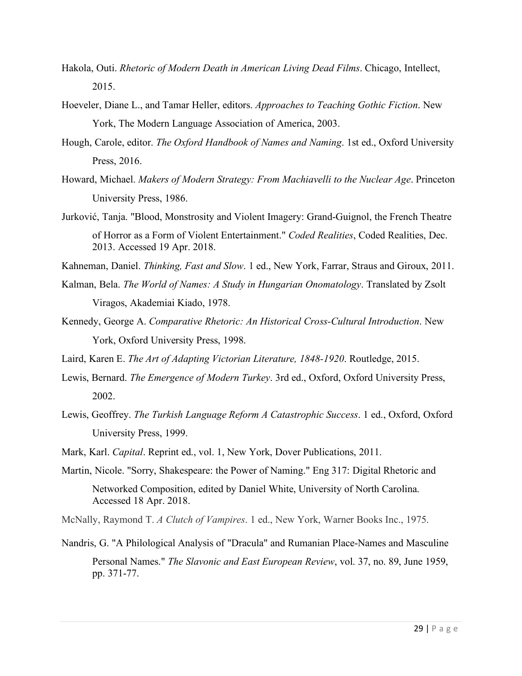- Hakola, Outi. *Rhetoric of Modern Death in American Living Dead Films*. Chicago, Intellect, 2015.
- Hoeveler, Diane L., and Tamar Heller, editors. *Approaches to Teaching Gothic Fiction*. New York, The Modern Language Association of America, 2003.
- Hough, Carole, editor. *The Oxford Handbook of Names and Naming*. 1st ed., Oxford University Press, 2016.
- Howard, Michael. *Makers of Modern Strategy: From Machiavelli to the Nuclear Age*. Princeton University Press, 1986.
- Jurković, Tanja. "Blood, Monstrosity and Violent Imagery: Grand-Guignol, the French Theatre of Horror as a Form of Violent Entertainment." *Coded Realities*, Coded Realities, Dec. 2013. Accessed 19 Apr. 2018.
- Kahneman, Daniel. *Thinking, Fast and Slow*. 1 ed., New York, Farrar, Straus and Giroux, 2011.
- Kalman, Bela. *The World of Names: A Study in Hungarian Onomatology*. Translated by Zsolt Viragos, Akademiai Kiado, 1978.
- Kennedy, George A. *Comparative Rhetoric: An Historical Cross-Cultural Introduction*. New York, Oxford University Press, 1998.

Laird, Karen E. *The Art of Adapting Victorian Literature, 1848-1920*. Routledge, 2015.

- Lewis, Bernard. *The Emergence of Modern Turkey*. 3rd ed., Oxford, Oxford University Press, 2002.
- Lewis, Geoffrey. *The Turkish Language Reform A Catastrophic Success*. 1 ed., Oxford, Oxford University Press, 1999.
- Mark, Karl. *Capital*. Reprint ed., vol. 1, New York, Dover Publications, 2011.
- Martin, Nicole. "Sorry, Shakespeare: the Power of Naming." Eng 317: Digital Rhetoric and Networked Composition, edited by Daniel White, University of North Carolina. Accessed 18 Apr. 2018.
- McNally, Raymond T. *A Clutch of Vampires*. 1 ed., New York, Warner Books Inc., 1975.
- Nandris, G. "A Philological Analysis of "Dracula" and Rumanian Place-Names and Masculine Personal Names." *The Slavonic and East European Review*, vol. 37, no. 89, June 1959, pp. 371-77.